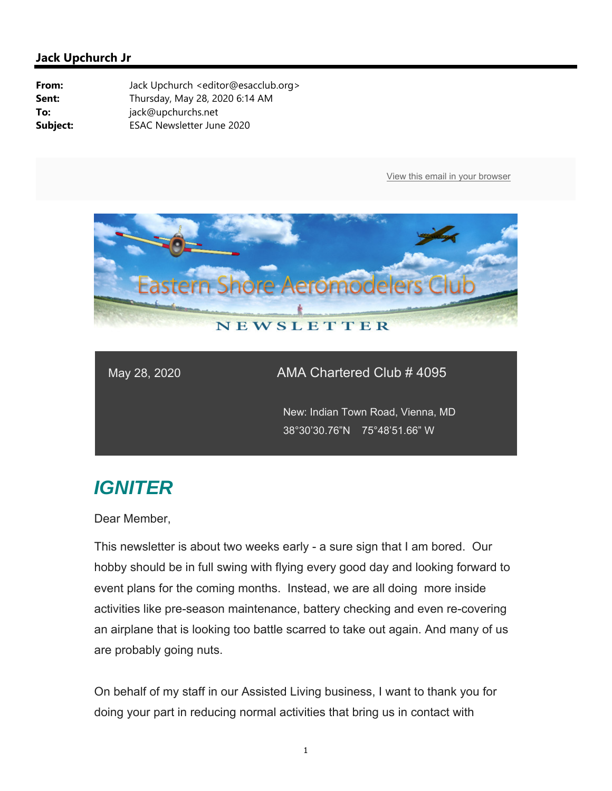

#### May 28, 2020 AMA Chartered Club # 4095

 New: Indian Town Road, Vienna, MD 38°30'30.76"N 75°48'51.66" W

## *IGNITER*

Dear Member,

This newsletter is about two weeks early - a sure sign that I am bored. Our hobby should be in full swing with flying every good day and looking forward to event plans for the coming months. Instead, we are all doing more inside activities like pre-season maintenance, battery checking and even re-covering an airplane that is looking too battle scarred to take out again. And many of us are probably going nuts.

On behalf of my staff in our Assisted Living business, I want to thank you for doing your part in reducing normal activities that bring us in contact with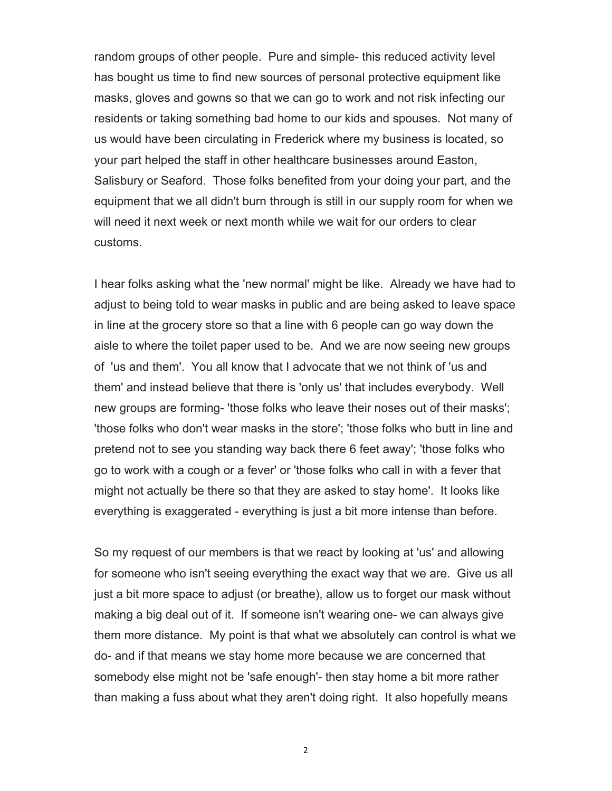random groups of other people. Pure and simple- this reduced activity level has bought us time to find new sources of personal protective equipment like masks, gloves and gowns so that we can go to work and not risk infecting our residents or taking something bad home to our kids and spouses. Not many of us would have been circulating in Frederick where my business is located, so your part helped the staff in other healthcare businesses around Easton, Salisbury or Seaford. Those folks benefited from your doing your part, and the equipment that we all didn't burn through is still in our supply room for when we will need it next week or next month while we wait for our orders to clear customs.

I hear folks asking what the 'new normal' might be like. Already we have had to adjust to being told to wear masks in public and are being asked to leave space in line at the grocery store so that a line with 6 people can go way down the aisle to where the toilet paper used to be. And we are now seeing new groups of 'us and them'. You all know that I advocate that we not think of 'us and them' and instead believe that there is 'only us' that includes everybody. Well new groups are forming- 'those folks who leave their noses out of their masks'; 'those folks who don't wear masks in the store'; 'those folks who butt in line and pretend not to see you standing way back there 6 feet away'; 'those folks who go to work with a cough or a fever' or 'those folks who call in with a fever that might not actually be there so that they are asked to stay home'. It looks like everything is exaggerated - everything is just a bit more intense than before.

So my request of our members is that we react by looking at 'us' and allowing for someone who isn't seeing everything the exact way that we are. Give us all just a bit more space to adjust (or breathe), allow us to forget our mask without making a big deal out of it. If someone isn't wearing one- we can always give them more distance. My point is that what we absolutely can control is what we do- and if that means we stay home more because we are concerned that somebody else might not be 'safe enough'- then stay home a bit more rather than making a fuss about what they aren't doing right. It also hopefully means

2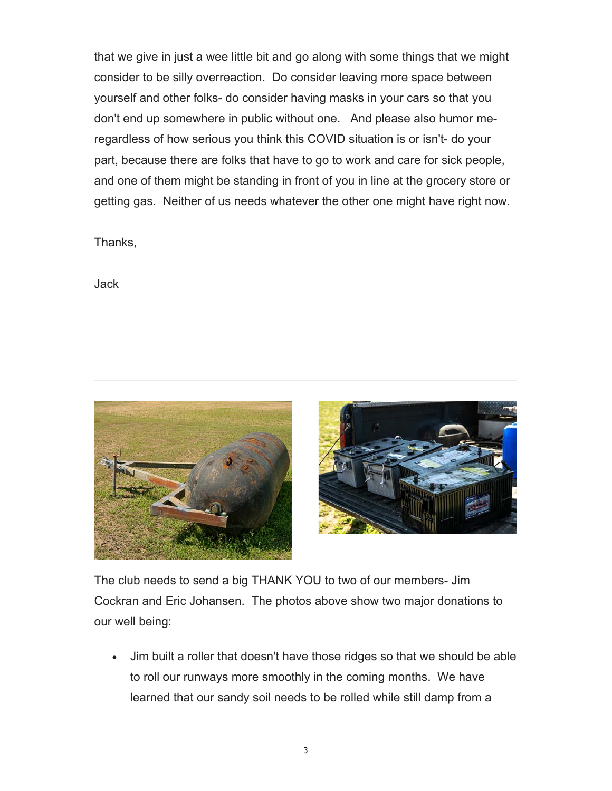that we give in just a wee little bit and go along with some things that we might consider to be silly overreaction. Do consider leaving more space between yourself and other folks- do consider having masks in your cars so that you don't end up somewhere in public without one. And please also humor meregardless of how serious you think this COVID situation is or isn't- do your part, because there are folks that have to go to work and care for sick people, and one of them might be standing in front of you in line at the grocery store or getting gas. Neither of us needs whatever the other one might have right now.

Thanks,

Jack





The club needs to send a big THANK YOU to two of our members- Jim Cockran and Eric Johansen. The photos above show two major donations to our well being:

 Jim built a roller that doesn't have those ridges so that we should be able to roll our runways more smoothly in the coming months. We have learned that our sandy soil needs to be rolled while still damp from a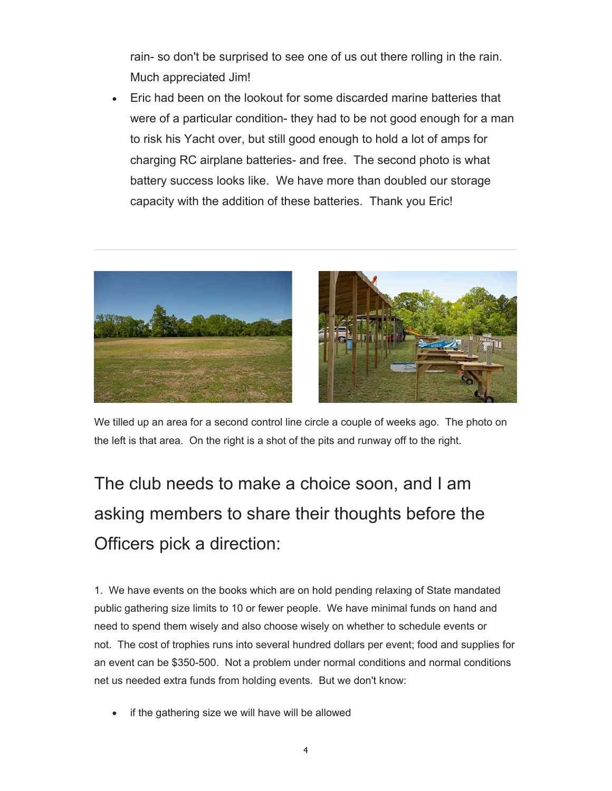rain- so don't be surprised to see one of us out there rolling in the rain. Much appreciated Jim!

 Eric had been on the lookout for some discarded marine batteries that were of a particular condition- they had to be not good enough for a man to risk his Yacht over, but still good enough to hold a lot of amps for charging RC airplane batteries- and free. The second photo is what battery success looks like. We have more than doubled our storage capacity with the addition of these batteries. Thank you Eric!





We tilled up an area for a second control line circle a couple of weeks ago. The photo on the left is that area. On the right is a shot of the pits and runway off to the right.

# The club needs to make a choice soon, and I am asking members to share their thoughts before the Officers pick a direction:

1. We have events on the books which are on hold pending relaxing of State mandated public gathering size limits to 10 or fewer people. We have minimal funds on hand and need to spend them wisely and also choose wisely on whether to schedule events or not. The cost of trophies runs into several hundred dollars per event; food and supplies for an event can be \$350-500. Not a problem under normal conditions and normal conditions net us needed extra funds from holding events. But we don't know:

if the gathering size we will have will be allowed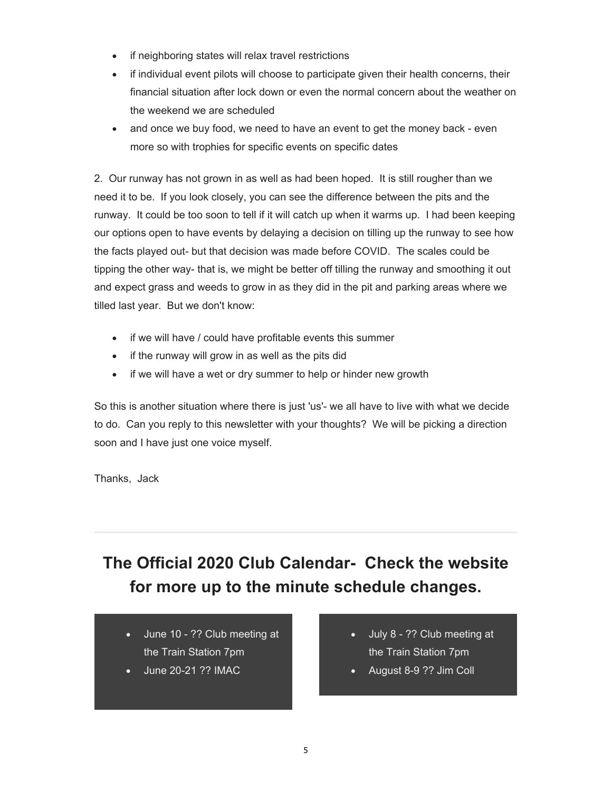- if neighboring states will relax travel restrictions
- if individual event pilots will choose to participate given their health concerns, their financial situation after lock down or even the normal concern about the weather on the weekend we are scheduled
- and once we buy food, we need to have an event to get the money back even more so with trophies for specific events on specific dates

2. Our runway has not grown in as well as had been hoped. It is still rougher than we need it to be. If you look closely, you can see the difference between the pits and the runway. It could be too soon to tell if it will catch up when it warms up. I had been keeping our options open to have events by delaying a decision on tilling up the runway to see how the facts played out- but that decision was made before COVID. The scales could be tipping the other way- that is, we might be better off tilling the runway and smoothing it out and expect grass and weeds to grow in as they did in the pit and parking areas where we tilled last year. But we don't know:

- if we will have / could have profitable events this summer
- if the runway will grow in as well as the pits did
- if we will have a wet or dry summer to help or hinder new growth

So this is another situation where there is just 'us'- we all have to live with what we decide to do. Can you reply to this newsletter with your thoughts? We will be picking a direction soon and I have just one voice myself.

Thanks, Jack

## **The Official 2020 Club Calendar- Check the website for more up to the minute schedule changes.**

- June 10 ?? Club meeting at the Train Station 7pm
- June 20-21 ?? IMAC
- July 8 ?? Club meeting at the Train Station 7pm
- August 8-9 ?? Jim Coll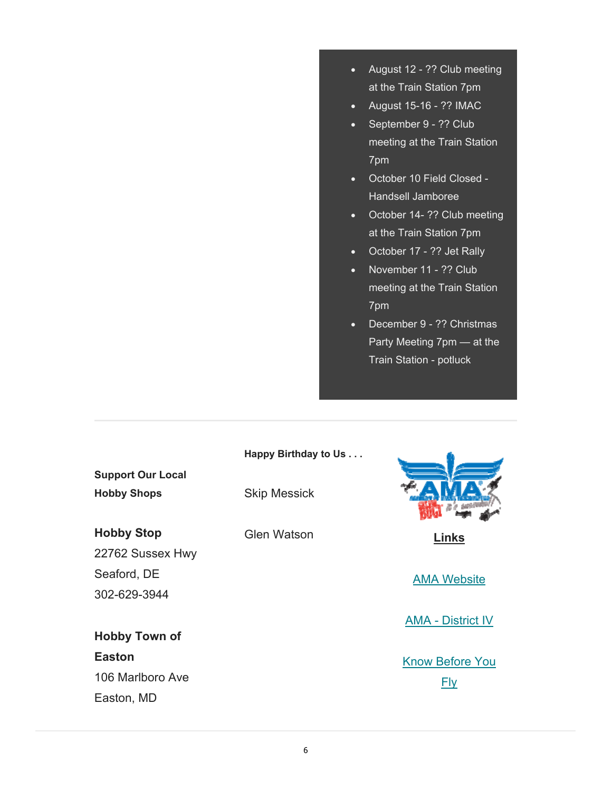- August 12 ?? Club meeting at the Train Station 7pm
- August 15-16 ?? IMAC
- September 9 ?? Club meeting at the Train Station 7pm
- October 10 Field Closed Handsell Jamboree
- October 14- ?? Club meeting at the Train Station 7pm
- October 17 ?? Jet Rally
- November 11 ?? Club meeting at the Train Station 7pm
- December 9 ?? Christmas Party Meeting 7pm — at the Train Station - potluck

|                          | Happy Birthday to Us |                          |
|--------------------------|----------------------|--------------------------|
| <b>Support Our Local</b> |                      |                          |
| <b>Hobby Shops</b>       | <b>Skip Messick</b>  |                          |
| <b>Hobby Stop</b>        | <b>Glen Watson</b>   | Links                    |
| 22762 Sussex Hwy         |                      |                          |
| Seaford, DE              |                      | <b>AMA Website</b>       |
| 302-629-3944             |                      |                          |
|                          |                      | <b>AMA - District IV</b> |
| <b>Hobby Town of</b>     |                      |                          |
| <b>Easton</b>            |                      | <b>Know Before You</b>   |
| 106 Marlboro Ave         |                      | Fly                      |
| Easton, MD               |                      |                          |